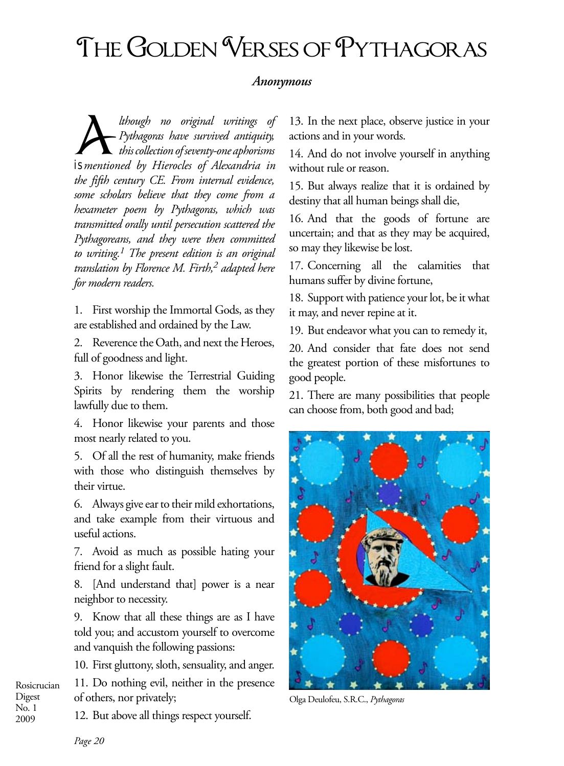## THE GOLDEN VERSES OF PYTHAGORAS

## *Anonymous*

*A*<br>*Pythagoras have survived antiquity,*<br>*this collection of seventy-one aphorisms*<br>*isomational by Himaly of Almandria in Pythagoras have survived antiquity, this collection of seventy-one aphorisms is mentioned by Hierocles of Alexandria in the fifth century CE. From internal evidence, some scholars believe that they come from a hexameter poem by Pythagoras, which was transmitted orally until persecution scattered the Pythagoreans, and they were then committed to writing.1 The present edition is an original translation by Florence M. Firth,2 adapted here for modern readers.*

1. First worship the Immortal Gods, as they are established and ordained by the Law.

2. Reverence the Oath, and next the Heroes, full of goodness and light.

3. Honor likewise the Terrestrial Guiding Spirits by rendering them the worship lawfully due to them.

4. Honor likewise your parents and those most nearly related to you.

5. Of all the rest of humanity, make friends with those who distinguish themselves by their virtue.

6. Always give ear to their mild exhortations, and take example from their virtuous and useful actions.

7. Avoid as much as possible hating your friend for a slight fault.

8. [And understand that] power is a near neighbor to necessity.

9. Know that all these things are as I have told you; and accustom yourself to overcome and vanquish the following passions:

10. First gluttony, sloth, sensuality, and anger.

Rosicrucian 11. Do nothing evil, neither in the presence of others, nor privately;

13. In the next place, observe justice in your actions and in your words.

14. And do not involve yourself in anything without rule or reason.

15. But always realize that it is ordained by destiny that all human beings shall die,

16. And that the goods of fortune are uncertain; and that as they may be acquired, so may they likewise be lost.

17. Concerning all the calamities that humans suffer by divine fortune,

18. Support with patience your lot, be it what it may, and never repine at it.

19. But endeavor what you can to remedy it,

20. And consider that fate does not send the greatest portion of these misfortunes to good people.

21. There are many possibilities that people can choose from, both good and bad;



Olga Deulofeu, S.R.C., *Pythagoras*

Digest No. 1 2009

12. But above all things respect yourself.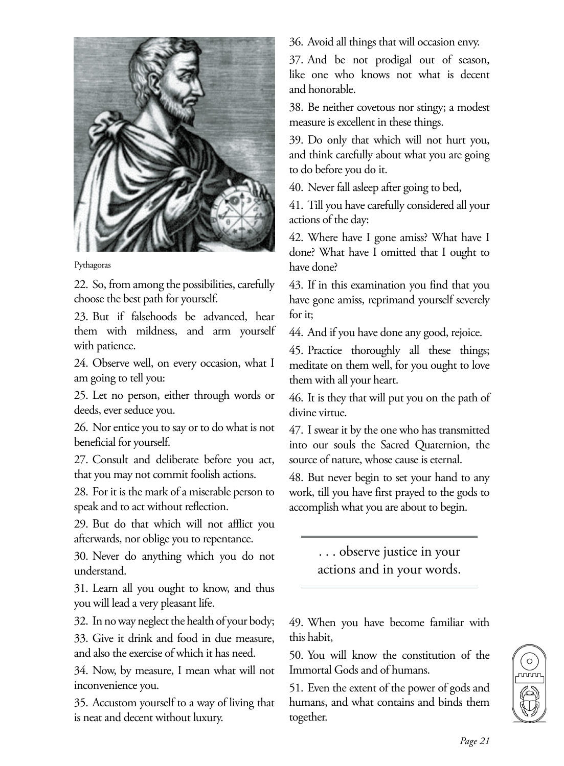

## Pythagoras

22. So, from among the possibilities, carefully choose the best path for yourself.

23. But if falsehoods be advanced, hear them with mildness, and arm yourself with patience.

24. Observe well, on every occasion, what I am going to tell you:

25. Let no person, either through words or deeds, ever seduce you.

26. Nor entice you to say or to do what is not beneficial for yourself.

27. Consult and deliberate before you act, that you may not commit foolish actions.

28. For it is the mark of a miserable person to speak and to act without reflection.

29. But do that which will not afflict you afterwards, nor oblige you to repentance.

30. Never do anything which you do not understand.

31. Learn all you ought to know, and thus you will lead a very pleasant life.

32. In no way neglect the health of your body;

33. Give it drink and food in due measure, and also the exercise of which it has need.

34. Now, by measure, I mean what will not inconvenience you.

35. Accustom yourself to a way of living that is neat and decent without luxury.

36. Avoid all things that will occasion envy.

37. And be not prodigal out of season, like one who knows not what is decent and honorable.

38. Be neither covetous nor stingy; a modest measure is excellent in these things.

39. Do only that which will not hurt you, and think carefully about what you are going to do before you do it.

40. Never fall asleep after going to bed,

41. Till you have carefully considered all your actions of the day:

42. Where have I gone amiss? What have I done? What have I omitted that I ought to have done?

43. If in this examination you find that you have gone amiss, reprimand yourself severely for it;

44. And if you have done any good, rejoice.

45. Practice thoroughly all these things; meditate on them well, for you ought to love them with all your heart.

46. It is they that will put you on the path of divine virtue.

47. I swear it by the one who has transmitted into our souls the Sacred Quaternion, the source of nature, whose cause is eternal.

48. But never begin to set your hand to any work, till you have first prayed to the gods to accomplish what you are about to begin.

> . . . observe justice in your actions and in your words.

49. When you have become familiar with this habit,

50. You will know the constitution of the Immortal Gods and of humans.

51. Even the extent of the power of gods and humans, and what contains and binds them together.